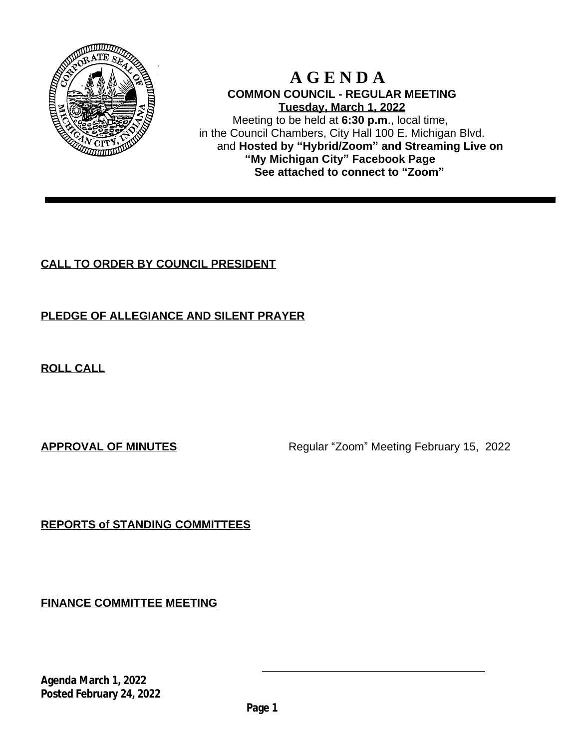

 **A G E N D A COMMON COUNCIL - REGULAR MEETING Tuesday, March 1, 2022** Meeting to be held at **6:30 p.m**., local time, in the Council Chambers, City Hall 100 E. Michigan Blvd. and **Hosted by "Hybrid/Zoom" and Streaming Live on "My Michigan City" Facebook Page See attached to connect to "Zoom"**

# **CALL TO ORDER BY COUNCIL PRESIDENT**

# **PLEDGE OF ALLEGIANCE AND SILENT PRAYER**

**ROLL CALL**

**APPROVAL OF MINUTES** Regular "Zoom" Meeting February 15, 2022

**REPORTS of STANDING COMMITTEES**

**FINANCE COMMITTEE MEETING**

**Agenda March 1, 2022 Posted February 24, 2022**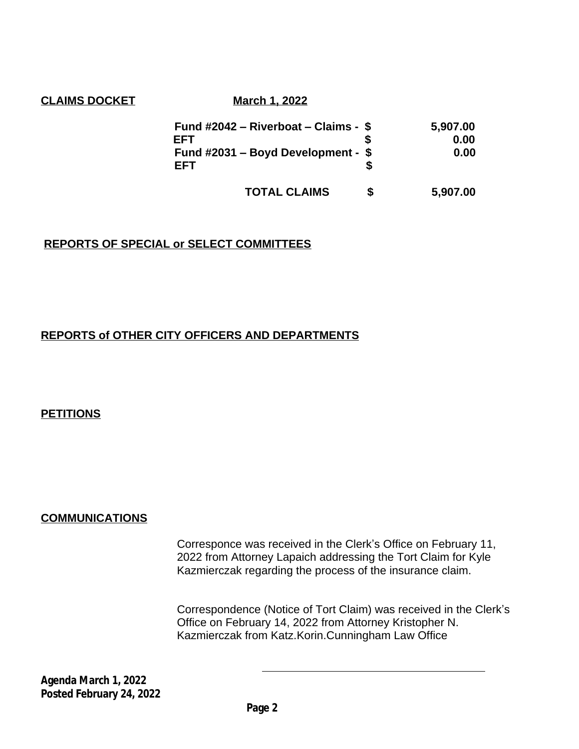#### **CLAIMS DOCKET March 1, 2022**

| Fund $\#2042$ – Riverboat – Claims - \$ | 5,907.00 |
|-----------------------------------------|----------|
| FFT                                     | 0.00     |
| Fund $\#2031$ – Boyd Development - \$   | 0.00     |
| EFT                                     |          |
|                                         |          |

# **TOTAL CLAIMS \$ 5,907.00**

## **REPORTS OF SPECIAL or SELECT COMMITTEES**

# **REPORTS of OTHER CITY OFFICERS AND DEPARTMENTS**

**PETITIONS**

### **COMMUNICATIONS**

Corresponce was received in the Clerk's Office on February 11, 2022 from Attorney Lapaich addressing the Tort Claim for Kyle Kazmierczak regarding the process of the insurance claim.

Correspondence (Notice of Tort Claim) was received in the Clerk's Office on February 14, 2022 from Attorney Kristopher N. Kazmierczak from Katz.Korin.Cunningham Law Office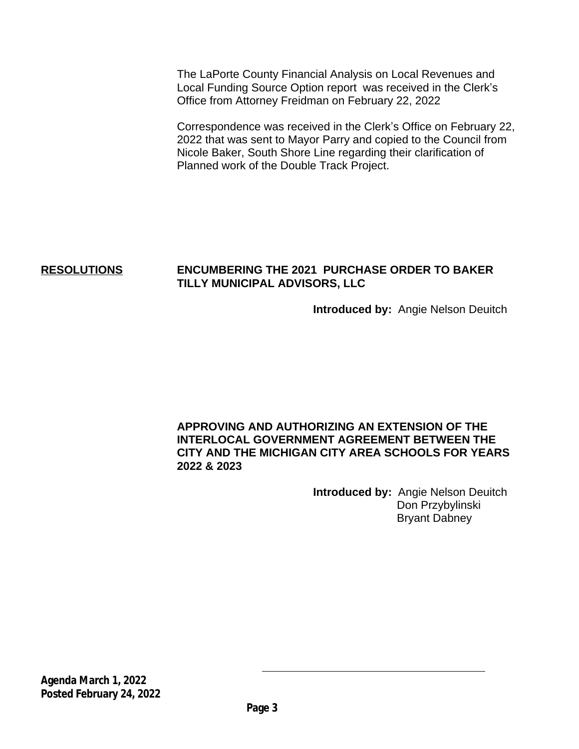The LaPorte County Financial Analysis on Local Revenues and Local Funding Source Option report was received in the Clerk's Office from Attorney Freidman on February 22, 2022

Correspondence was received in the Clerk's Office on February 22, 2022 that was sent to Mayor Parry and copied to the Council from Nicole Baker, South Shore Line regarding their clarification of Planned work of the Double Track Project.

## **RESOLUTIONS ENCUMBERING THE 2021 PURCHASE ORDER TO BAKER TILLY MUNICIPAL ADVISORS, LLC**

**Introduced by:** Angie Nelson Deuitch

### **APPROVING AND AUTHORIZING AN EXTENSION OF THE INTERLOCAL GOVERNMENT AGREEMENT BETWEEN THE CITY AND THE MICHIGAN CITY AREA SCHOOLS FOR YEARS 2022 & 2023**

**Introduced by:** Angie Nelson Deuitch Don Przybylinski Bryant Dabney

**Agenda March 1, 2022 Posted February 24, 2022**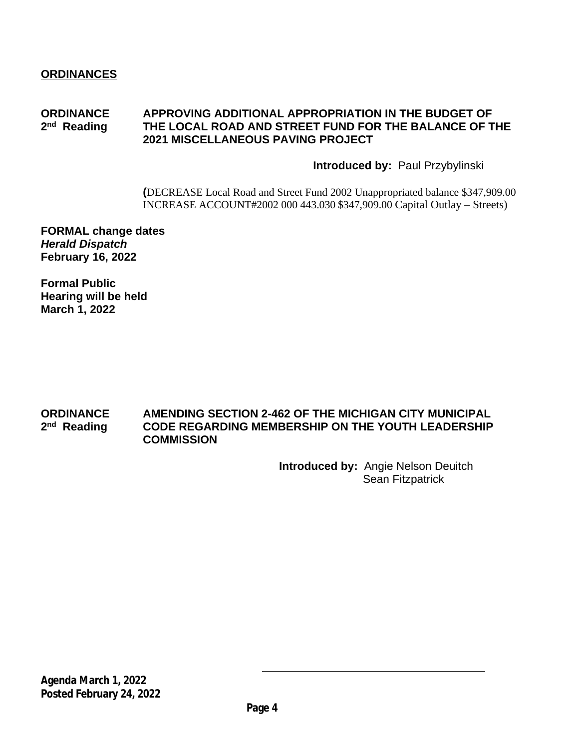#### **ORDINANCE APPROVING ADDITIONAL APPROPRIATION IN THE BUDGET OF** 2<sup>nd</sup> Reading **THE LOCAL ROAD AND STREET FUND FOR THE BALANCE OF THE 2021 MISCELLANEOUS PAVING PROJECT**

#### **Introduced by:** Paul Przybylinski

**(**DECREASE Local Road and Street Fund 2002 Unappropriated balance \$347,909.00 INCREASE ACCOUNT#2002 000 443.030 \$347,909.00 Capital Outlay – Streets)

**FORMAL change dates** *Herald Dispatch* **February 16, 2022**

**Formal Public Hearing will be held March 1, 2022**

#### **ORDINANCE AMENDING SECTION 2-462 OF THE MICHIGAN CITY MUNICIPAL** 2<sup>nd</sup> Reading **CODE REGARDING MEMBERSHIP ON THE YOUTH LEADERSHIP COMMISSION**

**Introduced by:** Angie Nelson Deuitch Sean Fitzpatrick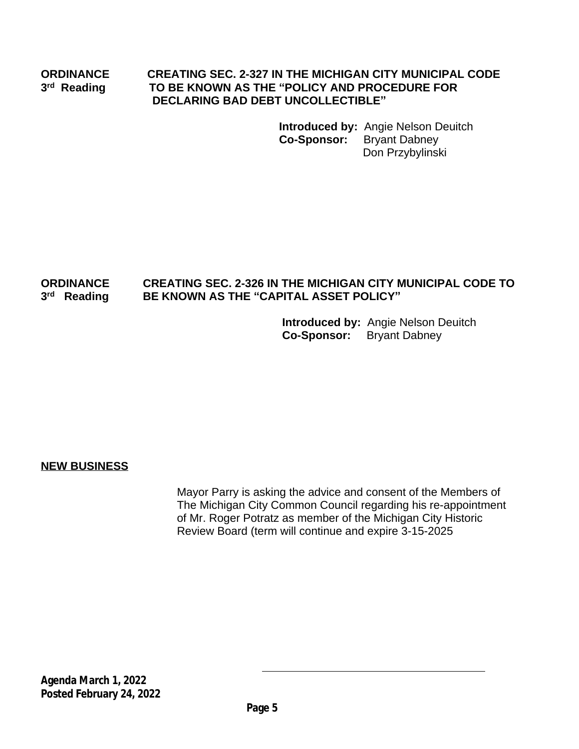3<sup>rd</sup> Reading

### **ORDINANCE CREATING SEC. 2-327 IN THE MICHIGAN CITY MUNICIPAL CODE rd Reading TO BE KNOWN AS THE "POLICY AND PROCEDURE FOR DECLARING BAD DEBT UNCOLLECTIBLE"**

**Introduced by:** Angie Nelson Deuitch **Co-Sponsor:** Bryant Dabney Don Przybylinski

#### **ORDINANCE CREATING SEC. 2-326 IN THE MICHIGAN CITY MUNICIPAL CODE TO** 3<sup>rd</sup> Reading **READING BE KNOWN AS THE "CAPITAL ASSET POLICY"**

 **Introduced by:** Angie Nelson Deuitch  **Co-Sponsor:** Bryant Dabney

### **NEW BUSINESS**

Mayor Parry is asking the advice and consent of the Members of The Michigan City Common Council regarding his re-appointment of Mr. Roger Potratz as member of the Michigan City Historic Review Board (term will continue and expire 3-15-2025

**Agenda March 1, 2022 Posted February 24, 2022**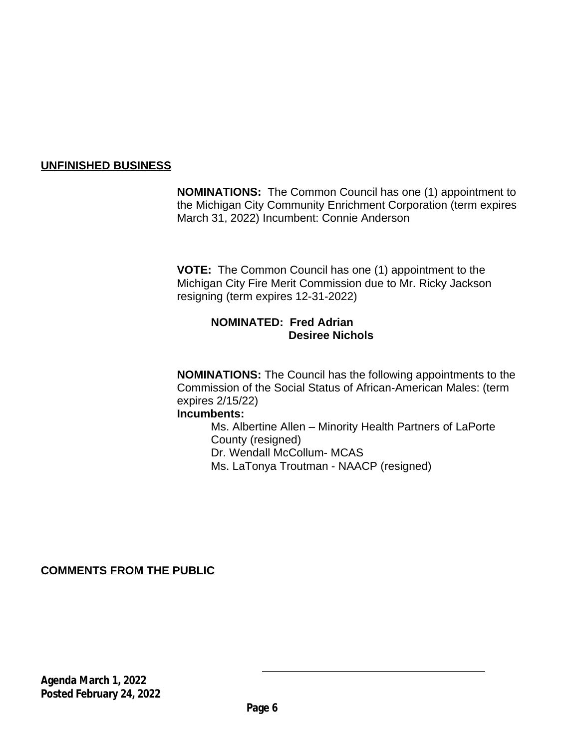## **UNFINISHED BUSINESS**

**NOMINATIONS:** The Common Council has one (1) appointment to the Michigan City Community Enrichment Corporation (term expires March 31, 2022) Incumbent: Connie Anderson

**VOTE:** The Common Council has one (1) appointment to the Michigan City Fire Merit Commission due to Mr. Ricky Jackson resigning (term expires 12-31-2022)

#### **NOMINATED: Fred Adrian Desiree Nichols**

**NOMINATIONS:** The Council has the following appointments to the Commission of the Social Status of African-American Males: (term expires 2/15/22)

#### **Incumbents:**

Ms. Albertine Allen – Minority Health Partners of LaPorte County (resigned) Dr. Wendall McCollum- MCAS Ms. LaTonya Troutman - NAACP (resigned)

**COMMENTS FROM THE PUBLIC**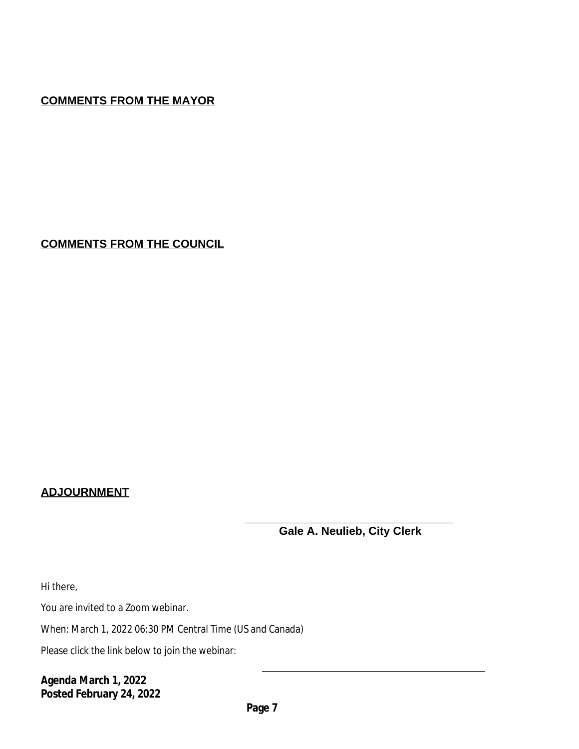## **COMMENTS FROM THE MAYOR**

**COMMENTS FROM THE COUNCIL**

# **ADJOURNMENT**

**\_\_\_\_\_\_\_\_\_\_\_\_\_\_\_\_\_\_\_\_\_\_\_\_\_\_\_\_\_\_\_\_\_ Gale A. Neulieb, City Clerk** 

Hi there,

You are invited to a Zoom webinar.

When: March 1, 2022 06:30 PM Central Time (US and Canada)

Please click the link below to join the webinar:

**Agenda March 1, 2022 Posted February 24, 2022**